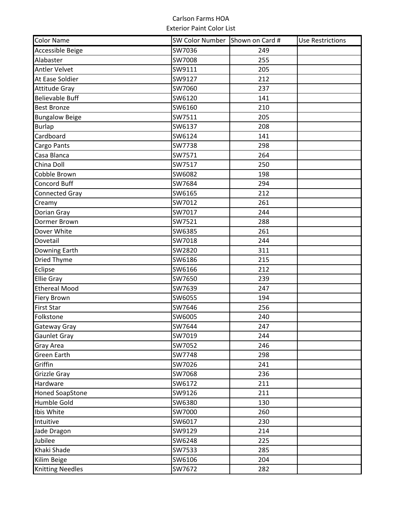| <b>Color Name</b>       | SW Color Number Shown on Card # |     | <b>Use Restrictions</b> |
|-------------------------|---------------------------------|-----|-------------------------|
| <b>Accessible Beige</b> | SW7036                          | 249 |                         |
| Alabaster               | SW7008                          | 255 |                         |
| <b>Antler Velvet</b>    | SW9111                          | 205 |                         |
| At Ease Soldier         | SW9127                          | 212 |                         |
| <b>Attitude Gray</b>    | SW7060                          | 237 |                         |
| <b>Believable Buff</b>  | SW6120                          | 141 |                         |
| <b>Best Bronze</b>      | SW6160                          | 210 |                         |
| <b>Bungalow Beige</b>   | SW7511                          | 205 |                         |
| <b>Burlap</b>           | SW6137                          | 208 |                         |
| Cardboard               | SW6124                          | 141 |                         |
| Cargo Pants             | SW7738                          | 298 |                         |
| Casa Blanca             | SW7571                          | 264 |                         |
| China Doll              | SW7517                          | 250 |                         |
| Cobble Brown            | SW6082                          | 198 |                         |
| Concord Buff            | SW7684                          | 294 |                         |
| <b>Connected Gray</b>   | SW6165                          | 212 |                         |
| Creamy                  | SW7012                          | 261 |                         |
| Dorian Gray             | SW7017                          | 244 |                         |
| Dormer Brown            | SW7521                          | 288 |                         |
| Dover White             | SW6385                          | 261 |                         |
| Dovetail                | SW7018                          | 244 |                         |
| <b>Downing Earth</b>    | SW2820                          | 311 |                         |
| <b>Dried Thyme</b>      | SW6186                          | 215 |                         |
| Eclipse                 | SW6166                          | 212 |                         |
| <b>Ellie Gray</b>       | SW7650                          | 239 |                         |
| <b>Ethereal Mood</b>    | SW7639                          | 247 |                         |
| <b>Fiery Brown</b>      | SW6055                          | 194 |                         |
| <b>First Star</b>       | SW7646                          | 256 |                         |
| Folkstone               | SW6005                          | 240 |                         |
| Gateway Gray            | SW7644                          | 247 |                         |
| <b>Gaunlet Gray</b>     | SW7019                          | 244 |                         |
| <b>Gray Area</b>        | SW7052                          | 246 |                         |
| <b>Green Earth</b>      | SW7748                          | 298 |                         |
| Griffin                 | SW7026                          | 241 |                         |
| <b>Grizzle Gray</b>     | SW7068                          | 236 |                         |
| Hardware                | SW6172                          | 211 |                         |
| <b>Honed SoapStone</b>  | SW9126                          | 211 |                         |
| Humble Gold             | SW6380                          | 130 |                         |
| Ibis White              | SW7000                          | 260 |                         |
| Intuitive               | SW6017                          | 230 |                         |
| Jade Dragon             | SW9129                          | 214 |                         |
| Jubilee                 | SW6248                          | 225 |                         |
| Khaki Shade             | SW7533                          | 285 |                         |
| Kilim Beige             | SW6106                          | 204 |                         |
| <b>Knitting Needles</b> | SW7672                          | 282 |                         |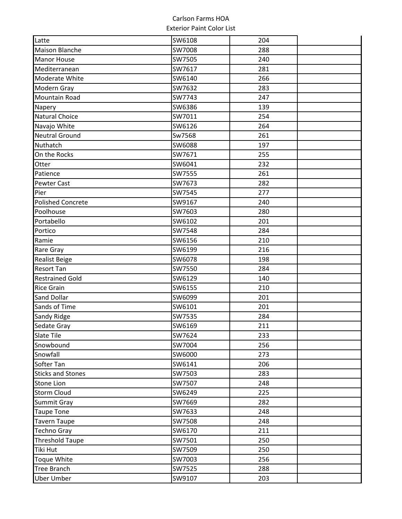| Latte                    | SW6108 | 204 |  |
|--------------------------|--------|-----|--|
| <b>Maison Blanche</b>    | SW7008 | 288 |  |
| <b>Manor House</b>       | SW7505 | 240 |  |
| Mediterranean            | SW7617 | 281 |  |
| Moderate White           | SW6140 | 266 |  |
| Modern Gray              | SW7632 | 283 |  |
| <b>Mountain Road</b>     | SW7743 | 247 |  |
| Napery                   | SW6386 | 139 |  |
| <b>Natural Choice</b>    | SW7011 | 254 |  |
| Navajo White             | SW6126 | 264 |  |
| <b>Neutral Ground</b>    | Sw7568 | 261 |  |
| Nuthatch                 | SW6088 | 197 |  |
| On the Rocks             | SW7671 | 255 |  |
| Otter                    | SW6041 | 232 |  |
| Patience                 | SW7555 | 261 |  |
| <b>Pewter Cast</b>       | SW7673 | 282 |  |
| Pier                     | SW7545 | 277 |  |
| <b>Polished Concrete</b> | SW9167 | 240 |  |
| Poolhouse                | SW7603 | 280 |  |
| Portabello               | SW6102 | 201 |  |
| Portico                  | SW7548 | 284 |  |
| Ramie                    | SW6156 | 210 |  |
| Rare Gray                | SW6199 | 216 |  |
| <b>Realist Beige</b>     | SW6078 | 198 |  |
| <b>Resort Tan</b>        | SW7550 | 284 |  |
| <b>Restrained Gold</b>   | SW6129 | 140 |  |
| <b>Rice Grain</b>        | SW6155 | 210 |  |
| <b>Sand Dollar</b>       | SW6099 | 201 |  |
| Sands of Time            | SW6101 | 201 |  |
| <b>Sandy Ridge</b>       | SW7535 | 284 |  |
| Sedate Gray              | SW6169 | 211 |  |
| <b>Slate Tile</b>        | SW7624 | 233 |  |
| Snowbound                | SW7004 | 256 |  |
| Snowfall                 | SW6000 | 273 |  |
| Softer Tan               | SW6141 | 206 |  |
| <b>Sticks and Stones</b> | SW7503 | 283 |  |
| <b>Stone Lion</b>        | SW7507 | 248 |  |
| <b>Storm Cloud</b>       | SW6249 | 225 |  |
| Summit Gray              | SW7669 | 282 |  |
| <b>Taupe Tone</b>        | SW7633 | 248 |  |
| <b>Tavern Taupe</b>      | SW7508 | 248 |  |
| <b>Techno Gray</b>       | SW6170 | 211 |  |
| <b>Threshold Taupe</b>   | SW7501 | 250 |  |
| Tiki Hut                 | SW7509 | 250 |  |
| <b>Toque White</b>       | SW7003 | 256 |  |
| <b>Tree Branch</b>       | SW7525 | 288 |  |
| <b>Uber Umber</b>        | SW9107 | 203 |  |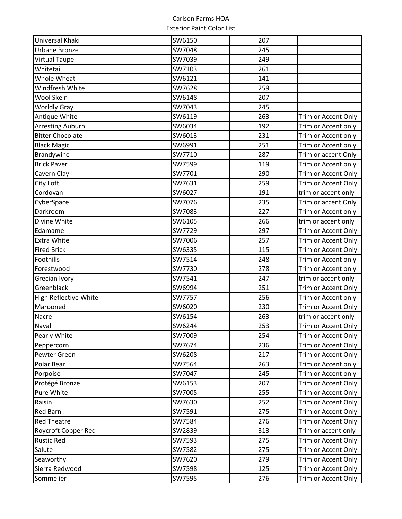| Universal Khaki              | SW6150 | 207 |                     |
|------------------------------|--------|-----|---------------------|
| Urbane Bronze                | SW7048 | 245 |                     |
| <b>Virtual Taupe</b>         | SW7039 | 249 |                     |
| Whitetail                    | SW7103 | 261 |                     |
| Whole Wheat                  | SW6121 | 141 |                     |
| Windfresh White              | SW7628 | 259 |                     |
| <b>Wool Skein</b>            | SW6148 | 207 |                     |
| <b>Worldly Gray</b>          | SW7043 | 245 |                     |
| Antique White                | SW6119 | 263 | Trim or Accent Only |
| <b>Arresting Auburn</b>      | SW6034 | 192 | Trim or Accent only |
| <b>Bitter Chocolate</b>      | SW6013 | 231 | Trim or Accent only |
| <b>Black Magic</b>           | SW6991 | 251 | Trim or Accent only |
| Brandywine                   | SW7710 | 287 | Trim or accent Only |
| <b>Brick Paver</b>           | SW7599 | 119 | Trim or Accent only |
| Cavern Clay                  | SW7701 | 290 | Trim or Accent Only |
| City Loft                    | SW7631 | 259 | Trim or Accent Only |
| Cordovan                     | SW6027 | 191 | trim or accent only |
| CyberSpace                   | SW7076 | 235 | Trim or accent Only |
| Darkroom                     | SW7083 | 227 | Trim or Accent only |
| Divine White                 | SW6105 | 266 | trim or accent only |
| Edamame                      | SW7729 | 297 | Trim or Accent Only |
| <b>Extra White</b>           | SW7006 | 257 | Trim or Accent Only |
| <b>Fired Brick</b>           | SW6335 | 115 | Trim or Accent Only |
| Foothills                    | SW7514 | 248 | Trim or Accent only |
| Forestwood                   | SW7730 | 278 | Trim or Accent only |
| Grecian Ivory                | SW7541 | 247 | trim or accent only |
| Greenblack                   | SW6994 | 251 | Trim or Accent Only |
| <b>High Reflective White</b> | SW7757 | 256 | Trim or Accent only |
| Marooned                     | SW6020 | 230 | Trim or Accent Only |
| Nacre                        | SW6154 | 263 | trim or accent only |
| Naval                        | SW6244 | 253 | Trim or Accent Only |
| Pearly White                 | SW7009 | 254 | Trim or Accent Only |
| Peppercorn                   | SW7674 | 236 | Trim or Accent Only |
| Pewter Green                 | SW6208 | 217 | Trim or Accent Only |
| Polar Bear                   | SW7564 | 263 | Trim or Accent only |
| Porpoise                     | SW7047 | 245 | Trim or Accent only |
| Protégé Bronze               | SW6153 | 207 | Trim or Accent Only |
| Pure White                   | SW7005 | 255 | Trim or Accent Only |
| Raisin                       | SW7630 | 252 | Trim or Accent Only |
| <b>Red Barn</b>              | SW7591 | 275 | Trim or Accent Only |
| <b>Red Theatre</b>           | SW7584 | 276 | Trim or Accent Only |
| Roycroft Copper Red          | SW2839 | 313 | Trim or accent only |
| <b>Rustic Red</b>            | SW7593 | 275 | Trim or Accent Only |
| Salute                       | SW7582 | 275 | Trim or Accent Only |
| Seaworthy                    | SW7620 | 279 | Trim or Accent Only |
| Sierra Redwood               | SW7598 | 125 | Trim or Accent Only |
| Sommelier                    | SW7595 | 276 | Trim or Accent Only |